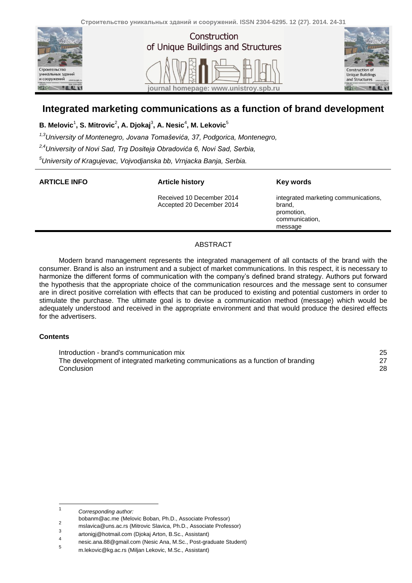



## **Integrated marketing communications as a function of brand development**

 $\mathbf{B}.$  Melovic $^1$ , S. Mitrovic $^2$ , A. Djokaj $^3$ , A. Nesic $^4$ , M. Lekovic $^5$ 

*1,3University of Montenegro, Jovana Tomaševića, 37, Podgorica, Montenegro,*

*2,4University of Novi Sad, Trg Dositeja Obradovića 6, Novi Sad, Serbia,*

*<sup>5</sup>University of Kragujevac, Vojvodjanska bb, Vrnjacka Banja, Serbia.*

### **ARTICLE INFO Article history**

Received 10 December 2014 Accepted 20 December 2014 **Key words**

integrated marketing communications, brand, promotion, communication, message

### ABSTRACT

Modern brand management represents the integrated management of all contacts of the brand with the consumer. Brand is also an instrument and a subject of market communications. In this respect, it is necessary to harmonize the different forms of communication with the company's defined brand strategy. Authors put forward the hypothesis that the appropriate choice of the communication resources and the message sent to consumer are in direct positive correlation with effects that can be produced to existing and potential customers in order to stimulate the purchase. The ultimate goal is to devise a communication method (message) which would be adequately understood and received in the appropriate environment and that would produce the desired effects for the advertisers.

### **Contents**

| Introduction - brand's communication mix                                         | 25 |
|----------------------------------------------------------------------------------|----|
| The development of integrated marketing communications as a function of branding |    |
| Conclusion                                                                       | 28 |

 $\frac{1}{1}$ *Corresponding author:*

bobanm@ac.me (Melovic Boban, Ph.D., Associate Professor)

<sup>2</sup> mslavica@uns.ac.rs (Mitrovic Slavica, Ph.D., Associate Professor)

<sup>3</sup> artonigj@hotmail.com (Djokaj Arton, B.Sc., Assistant)

<sup>4</sup> nesic.ana.88@gmail.com (Nesic Ana, M.Sc., Post-graduate Student)

<sup>5</sup> m.lekovic@kg.ac.rs (Miljan Lekovic, M.Sc., Assistant)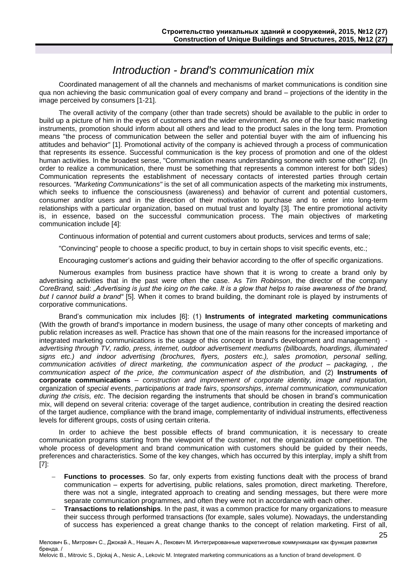# *Introduction - brand's communication mix*

<span id="page-1-0"></span>Coordinated management of all the channels and mechanisms of market communications is condition sine qua non achieving the basic communication goal of every company and brand – projections of the identity in the image perceived by consumers [1-21].

The overall activity of the company (other than trade secrets) should be available to the public in order to build up a picture of him in the eyes of customers and the wider environment. As one of the four basic marketing instruments, promotion should inform about all others and lead to the product sales in the long term. Promotion means "the process of communication between the seller and potential buyer with the aim of influencing his attitudes and behavior" [1]. Promotional activity of the company is achieved through a process of communication that represents its essence. Successful communication is the key process of promotion and one of the oldest human activities. In the broadest sense, "Communication means understanding someone with some other" [2]. (In order to realize a communication, there must be something that represents a common interest for both sides) Communication represents the establishment of necessary contacts of interested parties through certain resources. *"Marketing Communications"* is the set of all communication aspects of the marketing mix instruments, which seeks to influence the consciousness (awareness) and behavior of current and potential customers, consumer and/or users and in the direction of their motivation to purchase and to enter into long-term relationships with a particular organization, based on mutual trust and loyalty [3]. The entire promotional activity is, in essence, based on the successful communication process. The main objectives of marketing communication include [4]:

Continuous information of potential and current customers about products, services and terms of sale;

"Convincing" people to choose a specific product, to buy in certain shops to visit specific events, etc.;

Encouraging customer's actions and guiding their behavior according to the offer of specific organizations.

Numerous examples from business practice have shown that it is wrong to create a brand only by advertising activities that in the past were often the case. As *Tim Robinson*, the director of the company *CoreBrand,* said: *"Advertising is just the icing on the cake. It is a glow that helps to raise awareness of the brand, but I cannot build a brand"* [5]. When it comes to brand building, the dominant role is played by instruments of corporative communications.

Brand's communication mix includes [6]: (1) **Instruments of integrated marketing communications**  (With the growth of brand's importance in modern business, the usage of many other concepts of marketing and public relation increases as well. Practice has shown that one of the main reasons for the increased importance of integrated marketing communications is the usage of this concept in brand's development and management) *advertising through TV, radio, press, internet, outdoor advertisement mediums (billboards, hoardings, illuminated signs etc.) and indoor advertising (brochures, flyers, posters etc.), sales promotion, personal selling, communication activities of direct marketing, the communication aspect of the product – packaging, , the communication aspect of the price, the communication aspect of the distribution,* and (2) **Instruments of corporate communications** – *construction and improvement of corporate identity, image and reputation,* organization of *special events*, *participations at trade fairs*, *sponsorships*, *internal communication, communication during the crisis, etc*. The decision regarding the instruments that should be chosen in brand's communication mix, will depend on several criteria: coverage of the target audience, contribution in creating the desired reaction of the target audience, compliance with the brand image, complementarity of individual instruments, effectiveness levels for different groups, costs of using certain criteria.

In order to achieve the best possible effects of brand communication, it is necessary to create communication programs starting from the viewpoint of the customer, not the organization or competition. The whole process of development and brand communication with customers should be guided by their needs, preferences and characteristics. Some of the key changes, which has occurred by this interplay, imply a shift from [7]:

- **Functions to processes**. So far, only experts from existing functions dealt with the process of brand communication – experts for advertising, public relations, sales promotion, direct marketing. Therefore, there was not a single, integrated approach to creating and sending messages, but there were more separate communication programmes, and often they were not in accordance with each other.
- **Transactions to relationships**. In the past, it was a common practice for many organizations to measure their success through performed transactions (for example, sales volume). Nowadays, the understanding of success has experienced a great change thanks to the concept of relation marketing. First of all,

25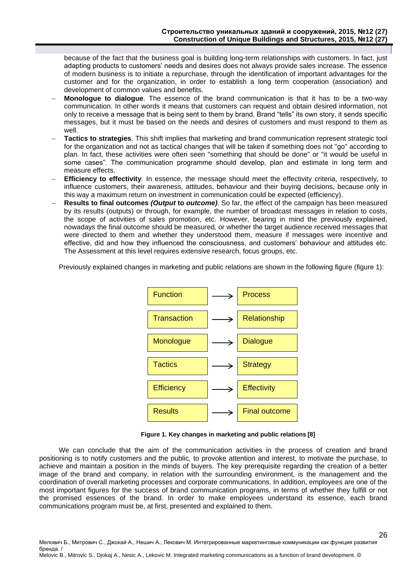because of the fact that the business goal is building long-term relationships with customers. In fact, just adapting products to customers' needs and desires does not always provide sales increase. The essence of modern business is to initiate a repurchase, through the identification of important advantages for the customer and for the organization, in order to establish a long term cooperation (association) and development of common values and benefits.

- **Monologue to dialogue**. The essence of the brand communication is that it has to be a two-way communication. In other words it means that customers can request and obtain desired information, not only to receive a message that is being sent to them by brand. Brand "tells" its own story, it sends specific messages, but it must be based on the needs and desires of customers and must respond to them as well.
- **Tactics to strategies**. This shift implies that marketing and brand communication represent strategic tool for the organization and not as tactical changes that will be taken if something does not "go" according to plan. In fact, these activities were often seen "something that should be done" or "it would be useful in some cases". The communication programme should develop, plan and estimate in long term and measure effects.
- **Efficiency to effectivity**. In essence, the message should meet the effectivity criteria, respectively, to influence customers, their awareness, attitudes, behaviour and their buying decisions, because only in this way a maximum return on investment in communication could be expected (efficiency).
- **Results to final outcomes** *(Output* **to** *outcome)*. So far, the effect of the campaign has been measured by its results (outputs) or through, for example, the number of broadcast messages in relation to costs, the scope of activities of sales promotion, etc. However, bearing in mind the previously explained, nowadays the final outcome should be measured*,* or whether the target audience received messages that were directed to them and whether they understood them, measure if messages were incentive and effective, did and how they influenced the consciousness, and customers' behaviour and attitudes etc. The Assessment at this level requires extensive research, focus groups, etc.

Previously explained changes in marketing and public relations are shown in the following figure (figure 1):



**Figure 1. Key changes in marketing and public relations [8]** 

26

We can conclude that the aim of the communication activities in the process of creation and brand positioning is to notify customers and the public, to provoke attention and interest, to motivate the purchase, to achieve and maintain a position in the minds of buyers. The key prerequisite regarding the creation of a better image of the brand and company, in relation with the surrounding environment, is the management and the coordination of overall marketing processes and corporate communications. In addition, employees are one of the most important figures for the success of brand communication programs, in terms of whether they fulfill or not the promised essences of the brand. In order to make employees understand its essence, each brand communications program must be, at first, presented and explained to them.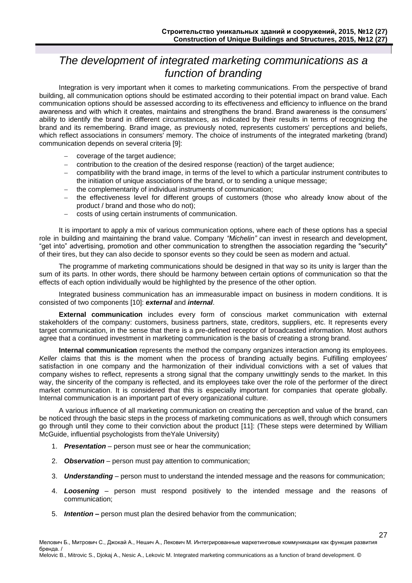# <span id="page-3-0"></span>*The development of integrated marketing communications as a function of branding*

Integration is very important when it comes to marketing communications. From the perspective of brand building, all communication options should be estimated according to their potential impact on brand value. Each communication options should be assessed according to its effectiveness and efficiency to influence on the brand awareness and with which it creates, maintains and strengthens the brand. Brand awareness is the consumers' ability to identify the brand in different circumstances, as indicated by their results in terms of recognizing the brand and its remembering. Brand image, as previously noted, represents customers' perceptions and beliefs, which reflect associations in consumers' memory. The choice of instruments of the integrated marketing (brand) communication depends on several criteria [9]:

- coverage of the target audience;
- contribution to the creation of the desired response (reaction) of the target audience;
- compatibility with the brand image, in terms of the level to which a particular instrument contributes to the initiation of unique associations of the brand, or to sending a unique message;
- the complementarity of individual instruments of communication;
- the effectiveness level for different groups of customers (those who already know about of the product / brand and those who do not);
- costs of using certain instruments of communication.

It is important to apply a mix of various communication options, where each of these options has a special role in building and maintaining the brand value. Company *"Michelin"* can invest in research and development, "get into" advertising, promotion and other communication to strengthen the association regarding the "security" of their tires, but they can also decide to sponsor events so they could be seen as modern and actual.

The programme of marketing communications should be designed in that way so its unity is larger than the sum of its parts. In other words, there should be harmony between certain options of communication so that the effects of each option individually would be highlighted by the presence of the other option.

Integrated business communication has an immeasurable impact on business in modern conditions. It is consisted of two components [10]: *external* and *internal*.

**External communication** includes every form of conscious market communication with external stakeholders of the company: customers, business partners, state, creditors, suppliers, etc. It represents every target communication, in the sense that there is a pre-defined receptor of broadcasted information. Most authors agree that a continued investment in marketing communication is the basis of creating a strong brand.

**Internal communication** represents the method the company organizes interaction among its employees. *Keller* claims that this is the moment when the process of branding actually begins. Fulfilling employees' satisfaction in one company and the harmonization of their individual convictions with a set of values that company wishes to reflect, represents a strong signal that the company unwittingly sends to the market. In this way, the sincerity of the company is reflected, and its employees take over the role of the performer of the direct market communication. It is considered that this is especially important for companies that operate globally. Internal communication is an important part of every organizational culture.

A various influence of all marketing communication on creating the perception and value of the brand, can be noticed through the basic steps in the process of marketing communications as well, through which consumers go through until they come to their conviction about the product [11]: (These steps were determined by William McGuide, influential psychologists from theYale University)

- 1. *Presentation* person must see or hear the communication;
- 2. *Observation* person must pay attention to communication;
- 3. *Understanding*  person must to understand the intended message and the reasons for communication;
- 4. *Loosening*  person must respond positively to the intended message and the reasons of communication;

27

5. *Intention* **–** person must plan the desired behavior from the communication;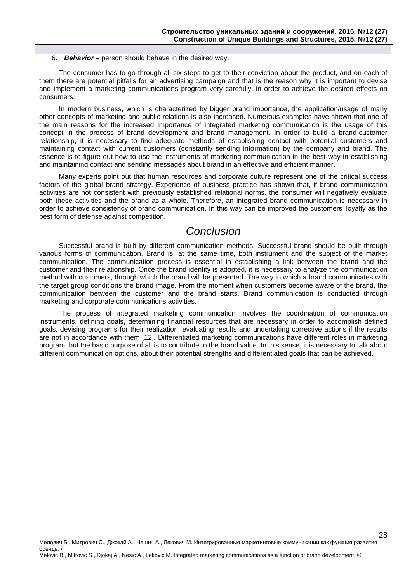6. *Behavior* – person should behave in the desired way.

The consumer has to go through all six steps to get to their conviction about the product, and on each of them there are potential pitfalls for an advertising campaign and that is the reason why it is important to devise and implement a marketing communications program very carefully, in order to achieve the desired effects on consumers.

In modern business, which is characterized by bigger brand importance, the application/usage of many other concepts of marketing and public relations is also increased. Numerous examples have shown that one of the main reasons for the increased importance of integrated marketing communication is the usage of this concept in the process of brand development and brand management. In order to build a brand-customer relationship, it is necessary to find adequate methods of establishing contact with potential customers and maintaining contact with current customers (constantly sending information) by the company and brand. The essence is to figure out how to use the instruments of marketing communication in the best way in establishing and maintaining contact and sending messages about brand in an effective and efficient manner.

Many experts point out that human resources and corporate culture represent one of the critical success factors of the global brand strategy. Experience of business practice has shown that, if brand communication activities are not consistent with previously established relational norms, the consumer will negatively evaluate both these activities and the brand as a whole. Therefore, an integrated brand communication is necessary in order to achieve consistency of brand communication. In this way can be improved the customers' loyalty as the best form of defense against competition.

## *Conclusion*

<span id="page-4-0"></span>Successful brand is built by different communication methods. Successful brand should be built through various forms of communication. Brand is, at the same time, both instrument and the subject of the market communication. The communication process is essential in establishing a link between the brand and the customer and their relationship. Once the brand identity is adopted, it is necessary to analyze the communication method with customers, through which the brand will be presented. The way in which a brand communicates with the target group conditions the brand image. From the moment when customers become aware of the brand, the communication between the customer and the brand starts. Brand communication is conducted through marketing and corporate communications activities.

The process of integrated marketing communication involves the coordination of communication instruments, defining goals, determining financial resources that are necessary in order to accomplish defined goals, devising programs for their realization, evaluating results and undertaking corrective actions if the results are not in accordance with them [12]. Differentiated marketing communications have different roles in marketing program, but the basic purpose of all is to contribute to the brand value. In this sense, it is necessary to talk about different communication options, about their potential strengths and differentiated goals that can be achieved.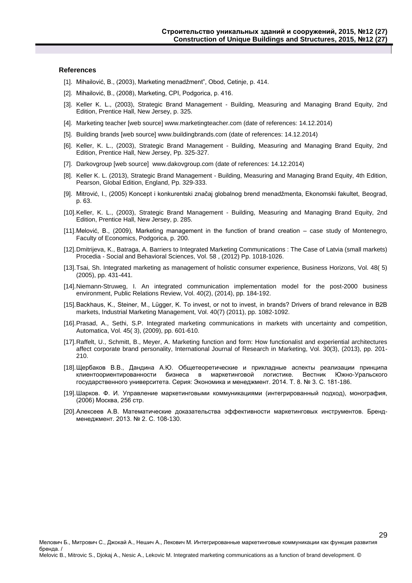#### **References**

- [1]. Mihailović, B., (2003), Marketing menadžment", Obod, Cetinje, p. 414.
- [2]. Mihailović, B., (2008), Marketing, CPI, Podgorica, p. 416.
- [3]. Keller K. L., (2003), Strategic Brand Management Building, Measuring and Managing Brand Equity, 2nd Edition, Prentice Hall, New Jersey, p. 325.
- [4]. Marketing teacher [web source] www.marketingteacher.com (date of references: 14.12.2014)
- [5]. Building brands [web source] www.buildingbrands.com (date of references: 14.12.2014)
- [6]. Keller, K. L., (2003), Strategic Brand Management Building, Measuring and Managing Brand Equity, 2nd Edition, Prentice Hall, New Jersey, Pp. 325-327.
- [7]. Darkovgroup [web source] www.dakovgroup.com (date of references: 14.12.2014)
- [8]. Keller K. L. (2013), Strategic Brand Management Building, Measuring and Managing Brand Equity, 4th Edition, Pearson, Global Edition, England, Pp. 329-333.
- [9]. Mitrović, I., (2005) Koncept i konkurentski značaj globalnog brend menadžmenta, Ekonomski fakultet, Beograd, p. 63.
- [10].Keller, K. L., (2003), Strategic Brand Management Building, Measuring and Managing Brand Equity, 2nd Edition, Prentice Hall, New Jersey, p. 285.
- [11].Melović, B., (2009), Marketing management in the function of brand creation case study of Montenegro, Faculty of Economics, Podgorica, p. 200.
- [12].Dmitrijeva, K., Batraga, A. Barriers to Integrated Marketing Communications : The Case of Latvia (small markets) Procedia - Social and Behavioral Sciences, Vol. 58 , (2012) Pp. 1018-1026.
- [13].Tsai, Sh. Integrated marketing as management of holistic consumer experience, Business Horizons, Vol. 48( 5) (2005), pp. 431-441.
- [14].Niemann-Struweg, I. An integrated communication implementation model for the post-2000 business environment, Public Relations Review, Vol. 40(2), (2014), pp. 184-192.
- [15].Backhaus, K., Steiner, M., Lügger, K. To invest, or not to invest, in brands? Drivers of brand relevance in B2B markets, Industrial Marketing Management, Vol. 40(7) (2011), pp. 1082-1092.
- [16].Prasad, A., Sethi, S.P. Integrated marketing communications in markets with uncertainty and competition, Automatica, Vol. 45( 3), (2009), pp. 601-610.
- [17].Raffelt, U., Schmitt, B., Meyer, A. Marketing function and form: How functionalist and experiential architectures affect corporate brand personality, International Journal of Research in Marketing, Vol. 30(3), (2013), pp. 201- 210.
- [18].Щербаков В.В., Дандина А.Ю. Общетеоретические и прикладные аспекты реализации принципа клиентоориентированности бизнеса в маркетинговой логистике. Вестник Южно-Уральского государственного университета. Серия: Экономика и менеджмент. 2014. Т. 8. № 3. С. 181-186.
- [19].Шарков. Ф. И. Управление маркетинговыми коммуникациями (интегрированный подход), монография, (2006) Москва, 256 стр.
- [20].Алексеев А.В. Математические доказательства эффективности маркетинговых инструментов. Брендменеджмент. 2013. № 2. С. 108-130.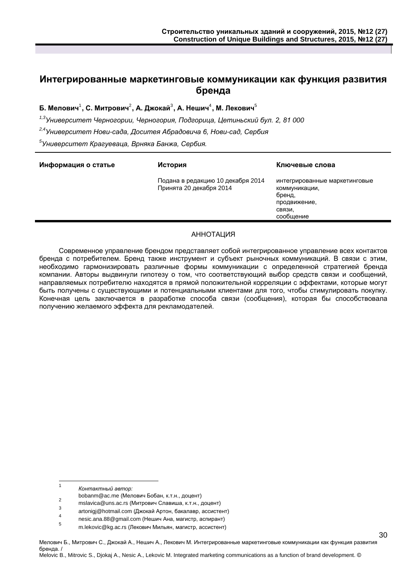### **Интегрированные маркетинговые коммуникации как функция развития бренда**

Б. Мелович<sup>1</sup>, С. Митрович $^2$ , А. Джокай $^3$ , А. Нешич $^4$ , М. Лекович $^5$ 

*1,3Университет Черногории, Черногория, Подгорица, Цетиньский бул. 2, 81 000*

*2,4Университет Нови-сада, Доситея Абрадовича 6, Нови-сад, Сербия*

*5 Университет Крагуеваца, Врняка Банжа, Сербия.*

| Информация о статье | История                                                      | Ключевые слова                                                                                  |
|---------------------|--------------------------------------------------------------|-------------------------------------------------------------------------------------------------|
|                     | Подана в редакцию 10 декабря 2014<br>Принята 20 декабря 2014 | интегрированные маркетинговые<br>коммуникации,<br>бренд,<br>продвижение,<br>СВЯЗИ,<br>сообшение |

### АННОТАЦИЯ

Современное управление брендом представляет собой интегрированное управление всех контактов бренда с потребителем. Бренд также инструмент и субъект рыночных коммуникаций. В связи с этим, необходимо гармонизировать различные формы коммуникации с определенной стратегией бренда компании. Авторы выдвинули гипотезу о том, что соответствующий выбор средств связи и сообщений, направляемых потребителю находятся в прямой положительной корреляции с эффектами, которые могут быть получены с существующими и потенциальными клиентами для того, чтобы стимулировать покупку. Конечная цель заключается в разработке способа связи (сообщения), которая бы способствовала получению желаемого эффекта для рекламодателей.

 $\frac{1}{1}$ *Контактный автор:*

bobanm@ac.me (Мелович Бобан, к.т.н., доцент)

**<sup>2</sup>** mslavica@uns.ac.rs (Митрович Славиша, к.т.н., доцент) 3

artonigj@hotmail.com (Джокай Артон, бакалавр, ассистент) 4

nesic.ana.88@gmail.com (Нешич Ана, магистр, аспирант)

<sup>5</sup> m.lekovic@kg.ac.rs (Лекович Мильян, магистр, ассистент)